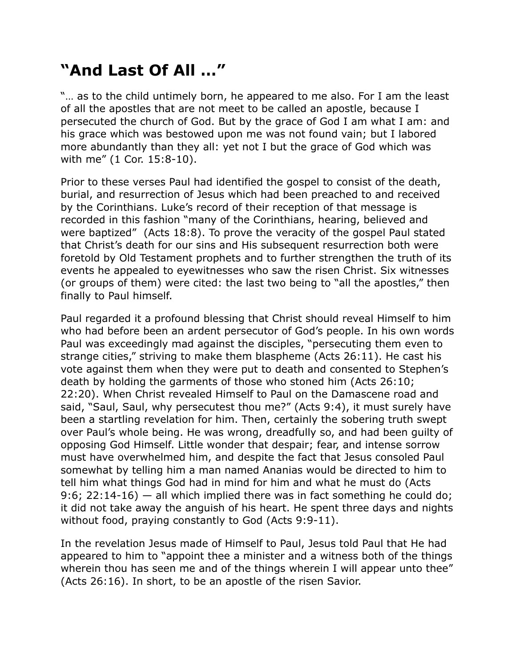## **"And Last Of All …"**

"… as to the child untimely born, he appeared to me also. For I am the least of all the apostles that are not meet to be called an apostle, because I persecuted the church of God. But by the grace of God I am what I am: and his grace which was bestowed upon me was not found vain; but I labored more abundantly than they all: yet not I but the grace of God which was with me" (1 Cor. 15:8-10).

Prior to these verses Paul had identified the gospel to consist of the death, burial, and resurrection of Jesus which had been preached to and received by the Corinthians. Luke's record of their reception of that message is recorded in this fashion "many of the Corinthians, hearing, believed and were baptized" (Acts 18:8). To prove the veracity of the gospel Paul stated that Christ's death for our sins and His subsequent resurrection both were foretold by Old Testament prophets and to further strengthen the truth of its events he appealed to eyewitnesses who saw the risen Christ. Six witnesses (or groups of them) were cited: the last two being to "all the apostles," then finally to Paul himself.

Paul regarded it a profound blessing that Christ should reveal Himself to him who had before been an ardent persecutor of God's people. In his own words Paul was exceedingly mad against the disciples, "persecuting them even to strange cities," striving to make them blaspheme (Acts 26:11). He cast his vote against them when they were put to death and consented to Stephen's death by holding the garments of those who stoned him (Acts 26:10; 22:20). When Christ revealed Himself to Paul on the Damascene road and said, "Saul, Saul, why persecutest thou me?" (Acts 9:4), it must surely have been a startling revelation for him. Then, certainly the sobering truth swept over Paul's whole being. He was wrong, dreadfully so, and had been guilty of opposing God Himself. Little wonder that despair; fear, and intense sorrow must have overwhelmed him, and despite the fact that Jesus consoled Paul somewhat by telling him a man named Ananias would be directed to him to tell him what things God had in mind for him and what he must do (Acts 9:6; 22:14-16)  $-$  all which implied there was in fact something he could do; it did not take away the anguish of his heart. He spent three days and nights without food, praying constantly to God (Acts 9:9-11).

In the revelation Jesus made of Himself to Paul, Jesus told Paul that He had appeared to him to "appoint thee a minister and a witness both of the things wherein thou has seen me and of the things wherein I will appear unto thee" (Acts 26:16). In short, to be an apostle of the risen Savior.